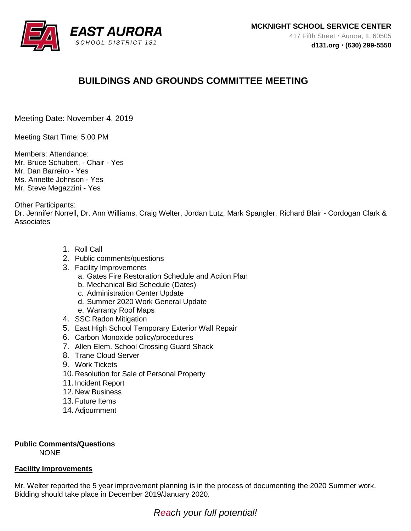

# **BUILDINGS AND GROUNDS COMMITTEE MEETING**

Meeting Date: November 4, 2019

Meeting Start Time: 5:00 PM

Members: Attendance: Mr. Bruce Schubert, - Chair - Yes Mr. Dan Barreiro - Yes Ms. Annette Johnson - Yes Mr. Steve Megazzini - Yes

Other Participants:

Dr. Jennifer Norrell, Dr. Ann Williams, Craig Welter, Jordan Lutz, Mark Spangler, Richard Blair - Cordogan Clark & **Associates** 

- 1. Roll Call
- 2. Public comments/questions
- 3. Facility Improvements
	- a. Gates Fire Restoration Schedule and Action Plan
	- b. Mechanical Bid Schedule (Dates)
	- c. Administration Center Update
	- d. Summer 2020 Work General Update
	- e. Warranty Roof Maps
- 4. SSC Radon Mitigation
- 5. East High School Temporary Exterior Wall Repair
- 6. Carbon Monoxide policy/procedures
- 7. Allen Elem. School Crossing Guard Shack
- 8. Trane Cloud Server
- 9. Work Tickets
- 10. Resolution for Sale of Personal Property
- 11. Incident Report
- 12. New Business
- 13.Future Items
- 14.Adjournment

## **Public Comments/Questions**

**NONE** 

#### **Facility Improvements**

Mr. Welter reported the 5 year improvement planning is in the process of documenting the 2020 Summer work. Bidding should take place in December 2019/January 2020.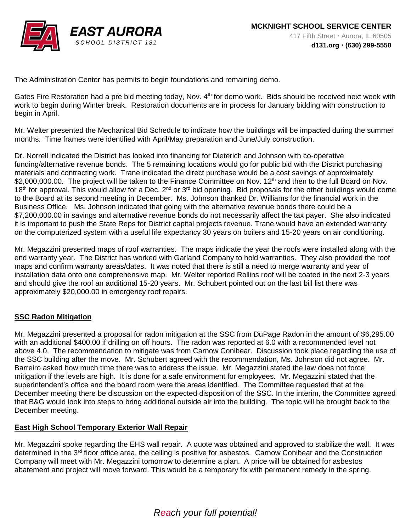

The Administration Center has permits to begin foundations and remaining demo.

Gates Fire Restoration had a pre bid meeting today, Nov. 4<sup>th</sup> for demo work. Bids should be received next week with work to begin during Winter break. Restoration documents are in process for January bidding with construction to begin in April.

Mr. Welter presented the Mechanical Bid Schedule to indicate how the buildings will be impacted during the summer months. Time frames were identified with April/May preparation and June/July construction.

Dr. Norrell indicated the District has looked into financing for Dieterich and Johnson with co-operative funding/alternative revenue bonds. The 5 remaining locations would go for public bid with the District purchasing materials and contracting work. Trane indicated the direct purchase would be a cost savings of approximately \$2,000,000.00. The project will be taken to the Finance Committee on Nov. 12<sup>th</sup> and then to the full Board on Nov.  $18<sup>th</sup>$  for approval. This would allow for a Dec.  $2<sup>nd</sup>$  or  $3<sup>rd</sup>$  bid opening. Bid proposals for the other buildings would come to the Board at its second meeting in December. Ms. Johnson thanked Dr. Williams for the financial work in the Business Office. Ms. Johnson indicated that going with the alternative revenue bonds there could be a \$7,200,000.00 in savings and alternative revenue bonds do not necessarily affect the tax payer. She also indicated it is important to push the State Reps for District capital projects revenue. Trane would have an extended warranty on the computerized system with a useful life expectancy 30 years on boilers and 15-20 years on air conditioning.

Mr. Megazzini presented maps of roof warranties. The maps indicate the year the roofs were installed along with the end warranty year. The District has worked with Garland Company to hold warranties. They also provided the roof maps and confirm warranty areas/dates. It was noted that there is still a need to merge warranty and year of installation data onto one comprehensive map. Mr. Welter reported Rollins roof will be coated in the next 2-3 years and should give the roof an additional 15-20 years. Mr. Schubert pointed out on the last bill list there was approximately \$20,000.00 in emergency roof repairs.

## **SSC Radon Mitigation**

Mr. Megazzini presented a proposal for radon mitigation at the SSC from DuPage Radon in the amount of \$6,295.00 with an additional \$400.00 if drilling on off hours. The radon was reported at 6.0 with a recommended level not above 4.0. The recommendation to mitigate was from Carnow Conibear. Discussion took place regarding the use of the SSC building after the move. Mr. Schubert agreed with the recommendation, Ms. Johnson did not agree. Mr. Barreiro asked how much time there was to address the issue. Mr. Megazzini stated the law does not force mitigation if the levels are high. It is done for a safe environment for employees. Mr. Megazzini stated that the superintendent's office and the board room were the areas identified. The Committee requested that at the December meeting there be discussion on the expected disposition of the SSC. In the interim, the Committee agreed that B&G would look into steps to bring additional outside air into the building. The topic will be brought back to the December meeting.

## **East High School Temporary Exterior Wall Repair**

Mr. Megazzini spoke regarding the EHS wall repair. A quote was obtained and approved to stabilize the wall. It was determined in the 3rd floor office area, the ceiling is positive for asbestos. Carnow Conibear and the Construction Company will meet with Mr. Megazzini tomorrow to determine a plan. A price will be obtained for asbestos abatement and project will move forward. This would be a temporary fix with permanent remedy in the spring.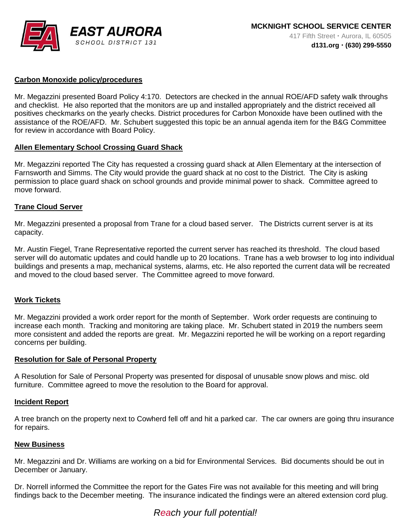

## **Carbon Monoxide policy/procedures**

Mr. Megazzini presented Board Policy 4:170. Detectors are checked in the annual ROE/AFD safety walk throughs and checklist. He also reported that the monitors are up and installed appropriately and the district received all positives checkmarks on the yearly checks. District procedures for Carbon Monoxide have been outlined with the assistance of the ROE/AFD. Mr. Schubert suggested this topic be an annual agenda item for the B&G Committee for review in accordance with Board Policy.

#### **Allen Elementary School Crossing Guard Shack**

Mr. Megazzini reported The City has requested a crossing guard shack at Allen Elementary at the intersection of Farnsworth and Simms. The City would provide the guard shack at no cost to the District. The City is asking permission to place guard shack on school grounds and provide minimal power to shack. Committee agreed to move forward.

#### **Trane Cloud Server**

Mr. Megazzini presented a proposal from Trane for a cloud based server. The Districts current server is at its capacity.

Mr. Austin Fiegel, Trane Representative reported the current server has reached its threshold. The cloud based server will do automatic updates and could handle up to 20 locations. Trane has a web browser to log into individual buildings and presents a map, mechanical systems, alarms, etc. He also reported the current data will be recreated and moved to the cloud based server. The Committee agreed to move forward.

## **Work Tickets**

Mr. Megazzini provided a work order report for the month of September. Work order requests are continuing to increase each month. Tracking and monitoring are taking place. Mr. Schubert stated in 2019 the numbers seem more consistent and added the reports are great. Mr. Megazzini reported he will be working on a report regarding concerns per building.

#### **Resolution for Sale of Personal Property**

A Resolution for Sale of Personal Property was presented for disposal of unusable snow plows and misc. old furniture. Committee agreed to move the resolution to the Board for approval.

#### **Incident Report**

A tree branch on the property next to Cowherd fell off and hit a parked car. The car owners are going thru insurance for repairs.

#### **New Business**

Mr. Megazzini and Dr. Williams are working on a bid for Environmental Services. Bid documents should be out in December or January.

Dr. Norrell informed the Committee the report for the Gates Fire was not available for this meeting and will bring findings back to the December meeting. The insurance indicated the findings were an altered extension cord plug.